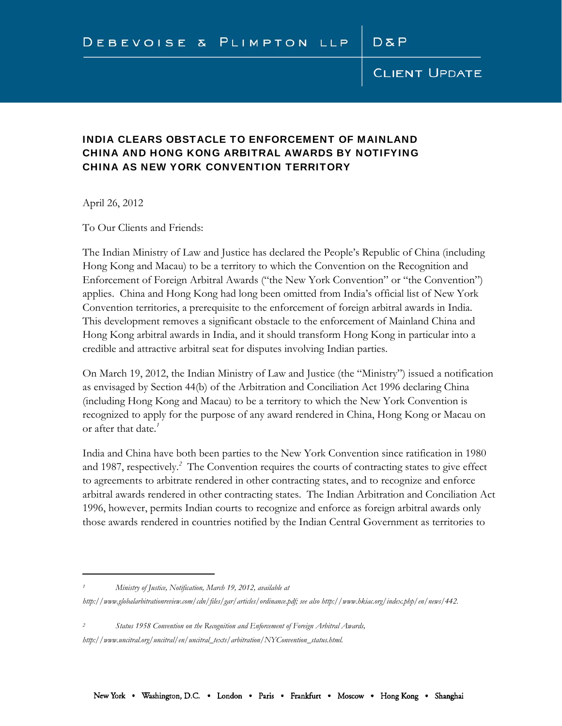# **CLIENT UPDATE**

# INDIA CLEARS OBSTACLE TO ENFORCEMENT OF MAINLAND CHINA AND HONG KONG ARBITRAL AWARDS BY NOTIFYING CHINA AS NEW YORK CONVENTION TERRITORY

April 26, 2012

 $\overline{a}$ 

To Our Clients and Friends:

The Indian Ministry of Law and Justice has declared the People's Republic of China (including Hong Kong and Macau) to be a territory to which the Convention on the Recognition and Enforcement of Foreign Arbitral Awards ("the New York Convention" or "the Convention") applies. China and Hong Kong had long been omitted from India's official list of New York Convention territories, a prerequisite to the enforcement of foreign arbitral awards in India. This development removes a significant obstacle to the enforcement of Mainland China and Hong Kong arbitral awards in India, and it should transform Hong Kong in particular into a credible and attractive arbitral seat for disputes involving Indian parties.

On March 19, 2012, the Indian Ministry of Law and Justice (the "Ministry") issued a notification as envisaged by Section 44(b) of the Arbitration and Conciliation Act 1996 declaring China (including Hong Kong and Macau) to be a territory to which the New York Convention is recognized to apply for the purpose of any award rendered in China, Hong Kong or Macau on or after that date.*<sup>1</sup>*

India and China have both been parties to the New York Convention since ratification in 1980 and 1987, respectively.*<sup>2</sup>* The Convention requires the courts of contracting states to give effect to agreements to arbitrate rendered in other contracting states, and to recognize and enforce arbitral awards rendered in other contracting states. The Indian Arbitration and Conciliation Act 1996, however, permits Indian courts to recognize and enforce as foreign arbitral awards only those awards rendered in countries notified by the Indian Central Government as territories to

*1 Ministry of Justice, Notification, March 19, 2012, available at* 

*2 Status 1958 Convention on the Recognition and Enforcement of Foreign Arbitral Awards, http://www.uncitral.org/uncitral/en/uncitral\_texts/arbitration/NYConvention\_status.html.* 

*http://www.globalarbitrationreview.com/cdn/files/gar/articles/ordinance.pdf; see also http://www.hkiac.org/index.php/en/news/442.*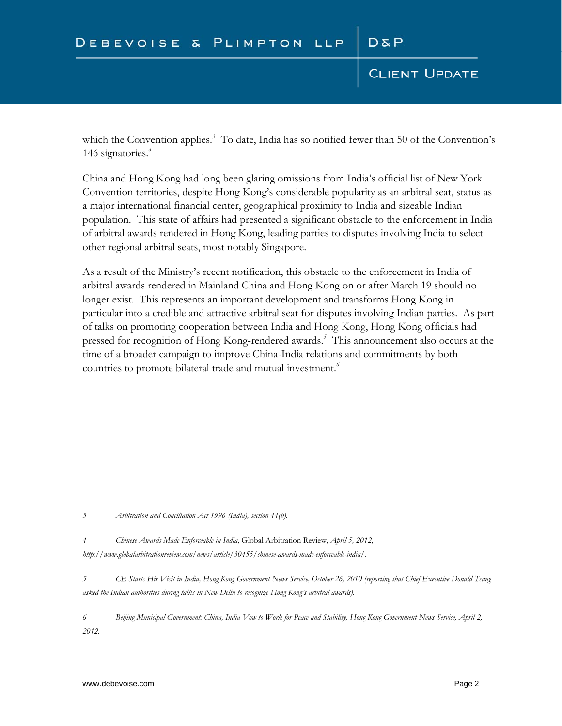# **CLIENT UPDATE**

which the Convention applies.*<sup>3</sup>* To date, India has so notified fewer than 50 of the Convention's 146 signatories.*<sup>4</sup>*

China and Hong Kong had long been glaring omissions from India's official list of New York Convention territories, despite Hong Kong's considerable popularity as an arbitral seat, status as a major international financial center, geographical proximity to India and sizeable Indian population. This state of affairs had presented a significant obstacle to the enforcement in India of arbitral awards rendered in Hong Kong, leading parties to disputes involving India to select other regional arbitral seats, most notably Singapore.

As a result of the Ministry's recent notification, this obstacle to the enforcement in India of arbitral awards rendered in Mainland China and Hong Kong on or after March 19 should no longer exist. This represents an important development and transforms Hong Kong in particular into a credible and attractive arbitral seat for disputes involving Indian parties. As part of talks on promoting cooperation between India and Hong Kong, Hong Kong officials had pressed for recognition of Hong Kong-rendered awards.*<sup>5</sup>* This announcement also occurs at the time of a broader campaign to improve China-India relations and commitments by both countries to promote bilateral trade and mutual investment.*<sup>6</sup>*

 $\overline{a}$ 

*<sup>3</sup> Arbitration and Conciliation Act 1996 (India), section 44(b).* 

*<sup>4</sup> Chinese Awards Made Enforceable in India,* Global Arbitration Review*, April 5, 2012, http://www.globalarbitrationreview.com/news/article/30455/chinese-awards-made-enforceable-india/.* 

*<sup>5</sup> CE Starts His Visit in India, Hong Kong Government News Service, October 26, 2010 (reporting that Chief Executive Donald Tsang asked the Indian authorities during talks in New Delhi to recognize Hong Kong's arbitral awards).* 

*<sup>6</sup> Beijing Municipal Government: China, India Vow to Work for Peace and Stability, Hong Kong Government News Service, April 2, 2012.*